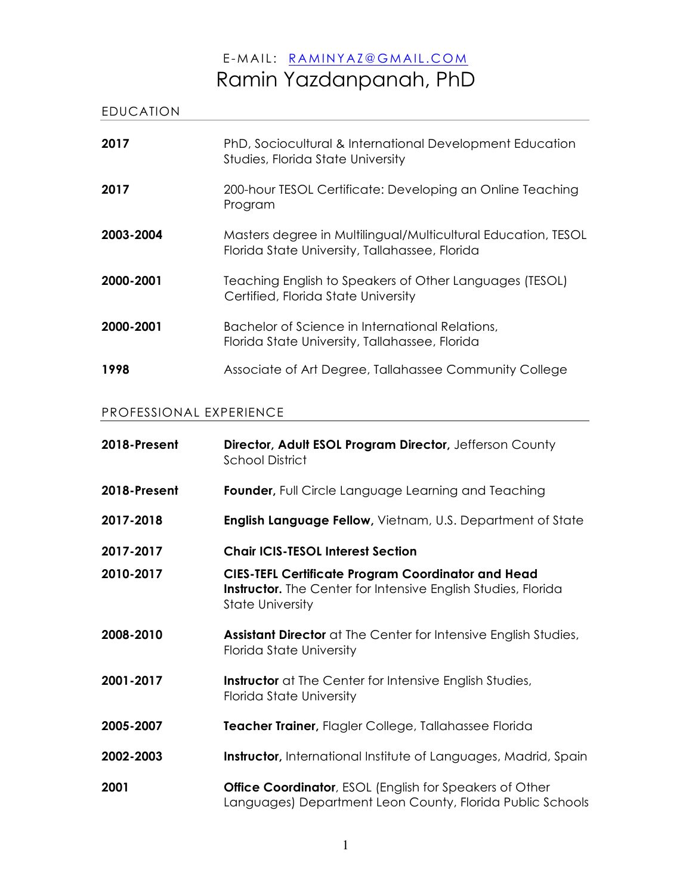# E -MAIL: RAMINYAZ@GMAIL.COM Ramin Yazdanpanah, PhD

| <b>EDUCATION</b> |                                                                                                                 |
|------------------|-----------------------------------------------------------------------------------------------------------------|
| 2017             | PhD, Sociocultural & International Development Education<br>Studies, Florida State University                   |
| 2017             | 200-hour TESOL Certificate: Developing an Online Teaching<br>Program                                            |
| 2003-2004        | Masters degree in Multilingual/Multicultural Education, TESOL<br>Florida State University, Tallahassee, Florida |
| 2000-2001        | Teaching English to Speakers of Other Languages (TESOL)<br>Certified, Florida State University                  |
| 2000-2001        | Bachelor of Science in International Relations,<br>Florida State University, Tallahassee, Florida               |
| 1998             | Associate of Art Degree, Tallahassee Community College                                                          |

# PROFESSIONAL EXPERIENCE

| 2018-Present | Director, Adult ESOL Program Director, Jefferson County<br><b>School District</b>                                                                            |
|--------------|--------------------------------------------------------------------------------------------------------------------------------------------------------------|
| 2018-Present | Founder, Full Circle Language Learning and Teaching                                                                                                          |
| 2017-2018    | <b>English Language Fellow, Vietnam, U.S. Department of State</b>                                                                                            |
| 2017-2017    | <b>Chair ICIS-TESOL Interest Section</b>                                                                                                                     |
| 2010-2017    | <b>CIES-TEFL Certificate Program Coordinator and Head</b><br><b>Instructor.</b> The Center for Intensive English Studies, Florida<br><b>State University</b> |
| 2008-2010    | <b>Assistant Director</b> at The Center for Intensive English Studies,<br>Florida State University                                                           |
| 2001-2017    | Instructor at The Center for Intensive English Studies,<br>Florida State University                                                                          |
| 2005-2007    | Teacher Trainer, Flagler College, Tallahassee Florida                                                                                                        |
| 2002-2003    | <b>Instructor,</b> International Institute of Languages, Madrid, Spain                                                                                       |
| 2001         | <b>Office Coordinator</b> , ESOL (English for Speakers of Other<br>Languages) Department Leon County, Florida Public Schools                                 |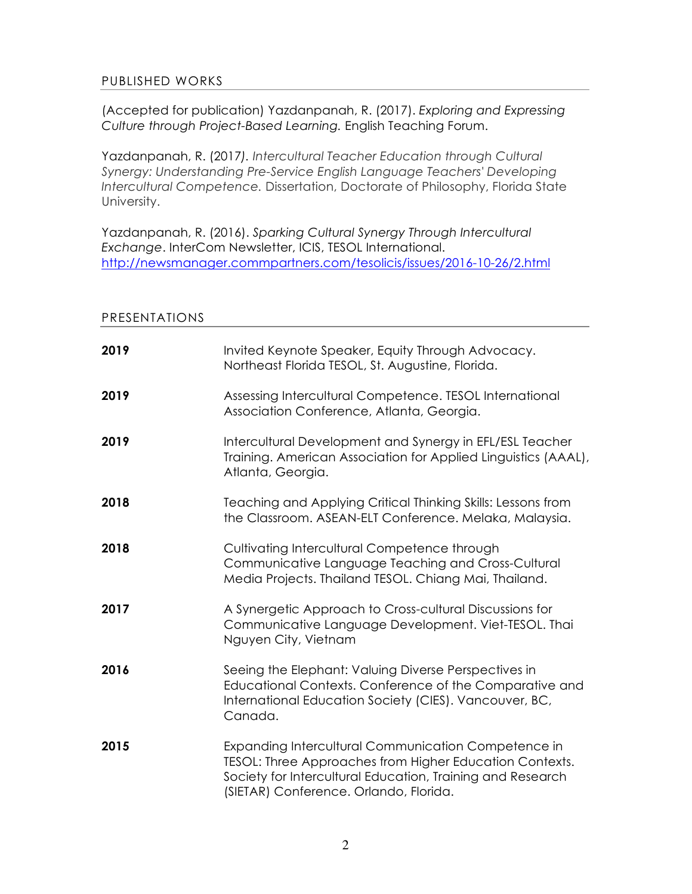## PUBLISHED WORKS

(Accepted for publication) Yazdanpanah, R. (2017). *Exploring and Expressing Culture through Project-Based Learning.* English Teaching Forum.

Yazdanpanah, R. (2017*). Intercultural Teacher Education through Cultural Synergy: Understanding Pre-Service English Language Teachers' Developing Intercultural Competence.* Dissertation, Doctorate of Philosophy, Florida State University.

Yazdanpanah, R. (2016). *Sparking Cultural Synergy Through Intercultural Exchange*. InterCom Newsletter, ICIS, TESOL International. http://newsmanager.commpartners.com/tesolicis/issues/2016-10-26/2.html

#### PRESENTATIONS

| 2019 | Invited Keynote Speaker, Equity Through Advocacy.<br>Northeast Florida TESOL, St. Augustine, Florida.                                                                                                                  |
|------|------------------------------------------------------------------------------------------------------------------------------------------------------------------------------------------------------------------------|
| 2019 | Assessing Intercultural Competence. TESOL International<br>Association Conference, Atlanta, Georgia.                                                                                                                   |
| 2019 | Intercultural Development and Synergy in EFL/ESL Teacher<br>Training. American Association for Applied Linguistics (AAAL),<br>Atlanta, Georgia.                                                                        |
| 2018 | Teaching and Applying Critical Thinking Skills: Lessons from<br>the Classroom. ASEAN-ELT Conference. Melaka, Malaysia.                                                                                                 |
| 2018 | Cultivating Intercultural Competence through<br>Communicative Language Teaching and Cross-Cultural<br>Media Projects. Thailand TESOL. Chiang Mai, Thailand.                                                            |
| 2017 | A Synergetic Approach to Cross-cultural Discussions for<br>Communicative Language Development. Viet-TESOL. Thai<br>Nguyen City, Vietnam                                                                                |
| 2016 | Seeing the Elephant: Valuing Diverse Perspectives in<br>Educational Contexts. Conference of the Comparative and<br>International Education Society (CIES). Vancouver, BC,<br>Canada.                                   |
| 2015 | Expanding Intercultural Communication Competence in<br>TESOL: Three Approaches from Higher Education Contexts.<br>Society for Intercultural Education, Training and Research<br>(SIETAR) Conference. Orlando, Florida. |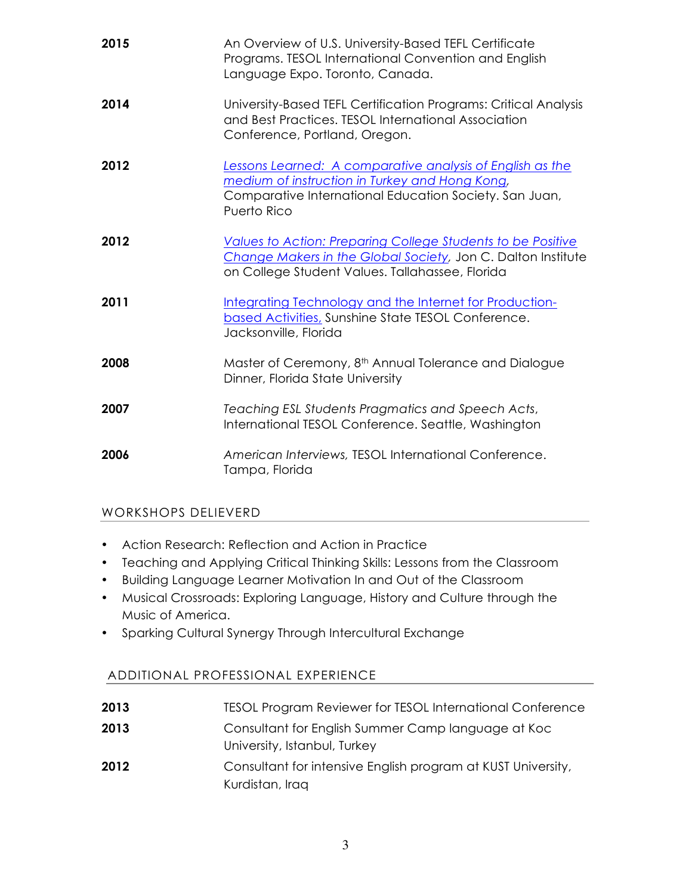| 2015 | An Overview of U.S. University-Based TEFL Certificate<br>Programs. TESOL International Convention and English<br>Language Expo. Toronto, Canada.                                     |
|------|--------------------------------------------------------------------------------------------------------------------------------------------------------------------------------------|
| 2014 | University-Based TEFL Certification Programs: Critical Analysis<br>and Best Practices. TESOL International Association<br>Conference, Portland, Oregon.                              |
| 2012 | Lessons Learned: A comparative analysis of English as the<br>medium of instruction in Turkey and Hong Kong,<br>Comparative International Education Society. San Juan,<br>Puerto Rico |
| 2012 | Values to Action: Preparing College Students to be Positive<br>Change Makers in the Global Society, Jon C. Dalton Institute<br>on College Student Values. Tallahassee, Florida       |
| 2011 | Integrating Technology and the Internet for Production-<br>based Activities, Sunshine State TESOL Conference.<br>Jacksonville, Florida                                               |
| 2008 | Master of Ceremony, 8 <sup>th</sup> Annual Tolerance and Dialogue<br>Dinner, Florida State University                                                                                |
| 2007 | Teaching ESL Students Pragmatics and Speech Acts,<br>International TESOL Conference. Seattle, Washington                                                                             |
| 2006 | American Interviews, TESOL International Conference.<br>Tampa, Florida                                                                                                               |

# WORKSHOPS DELIEVERD

- Action Research: Reflection and Action in Practice
- Teaching and Applying Critical Thinking Skills: Lessons from the Classroom
- Building Language Learner Motivation In and Out of the Classroom
- Musical Crossroads: Exploring Language, History and Culture through the Music of America.
- Sparking Cultural Synergy Through Intercultural Exchange

# ADDITIONAL PROFESSIONAL EXPERIENCE

- **2013** TESOL Program Reviewer for TESOL International Conference **2013** Consultant for English Summer Camp language at Koc
- University, Istanbul, Turkey
- **2012** Consultant for intensive English program at KUST University, Kurdistan, Iraq